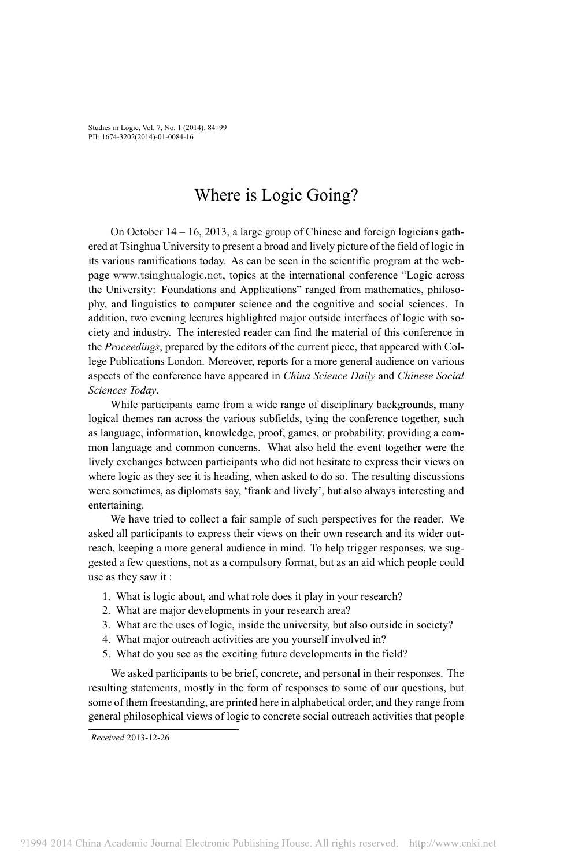Studies in Logic, Vol. 7, No. 1 (2014): 84–99 PII: 1674-3202(2014)-01-0084-16

# Where is Logic Going?

On October 14 – 16, 2013, a large group of Chinese and foreign logicians gathered at Tsinghua University to present a broad and lively picture of the field of logic in its various ramifications today. As can be seen in the scientific program at the webpage <www.tsinghualogic.net>, topics at the international conference "Logic across the University: Foundations and Applications" ranged from mathematics, philosophy, and linguistics to computer science and the cognitive and social sciences. In addition, two evening lectures highlighted major outside interfaces of logic with society and industry. The interested reader can find the material of this conference in the *Proceedings*, prepared by the editors of the current piece, that appeared with College Publications London. Moreover, reports for a more general audience on various aspects of the conference have appeared in *China Science Daily* and *Chinese Social Sciences Today*.

While participants came from a wide range of disciplinary backgrounds, many logical themes ran across the various subfields, tying the conference together, such as language, information, knowledge, proof, games, or probability, providing a common language and common concerns. What also held the event together were the lively exchanges between participants who did not hesitate to express their views on where logic as they see it is heading, when asked to do so. The resulting discussions were sometimes, as diplomats say, 'frank and lively', but also always interesting and entertaining.

We have tried to collect a fair sample of such perspectives for the reader. We asked all participants to express their views on their own research and its wider outreach, keeping a more general audience in mind. To help trigger responses, we suggested a few questions, not as a compulsory format, but as an aid which people could use as they saw it :

- 1. What is logic about, and what role does it play in your research?
- 2. What are major developments in your research area?
- 3. What are the uses of logic, inside the university, but also outside in society?
- 4. What major outreach activities are you yourself involved in?
- 5. What do you see as the exciting future developments in the field?

We asked participants to be brief, concrete, and personal in their responses. The resulting statements, mostly in the form of responses to some of our questions, but some of them freestanding, are printed here in alphabetical order, and they range from general philosophical views of logic to concrete social outreach activities that people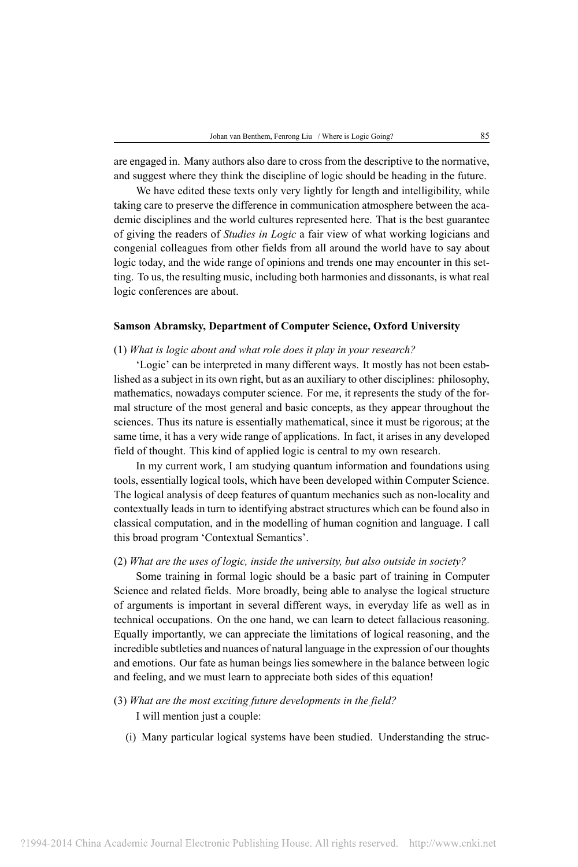are engaged in. Many authors also dare to cross from the descriptive to the normative, and suggest where they think the discipline of logic should be heading in the future.

We have edited these texts only very lightly for length and intelligibility, while taking care to preserve the difference in communication atmosphere between the academic disciplines and the world cultures represented here. That is the best guarantee of giving the readers of *Studies in Logic* a fair view of what working logicians and congenial colleagues from other fields from all around the world have to say about logic today, and the wide range of opinions and trends one may encounter in this setting. To us, the resulting music, including both harmonies and dissonants, is what real logic conferences are about.

## **Samson Abramsky, Department of Computer Science, Oxford University**

## (1) *What is logic about and what role does it play in your research?*

'Logic' can be interpreted in many different ways. It mostly has not been established as a subject in its own right, but as an auxiliary to other disciplines: philosophy, mathematics, nowadays computer science. For me, it represents the study of the formal structure of the most general and basic concepts, as they appear throughout the sciences. Thus its nature is essentially mathematical, since it must be rigorous; at the same time, it has a very wide range of applications. In fact, it arises in any developed field of thought. This kind of applied logic is central to my own research.

In my current work, I am studying quantum information and foundations using tools, essentially logical tools, which have been developed within Computer Science. The logical analysis of deep features of quantum mechanics such as non-locality and contextually leads in turn to identifying abstract structures which can be found also in classical computation, and in the modelling of human cognition and language. I call this broad program 'Contextual Semantics'.

### (2) *What are the uses of logic, inside the university, but also outside in society?*

Some training in formal logic should be a basic part of training in Computer Science and related fields. More broadly, being able to analyse the logical structure of arguments is important in several different ways, in everyday life as well as in technical occupations. On the one hand, we can learn to detect fallacious reasoning. Equally importantly, we can appreciate the limitations of logical reasoning, and the incredible subtleties and nuances of natural language in the expression of our thoughts and emotions. Our fate as human beings lies somewhere in the balance between logic and feeling, and we must learn to appreciate both sides of this equation!

- (3) *What are the most exciting future developments in the field?* I will mention just a couple:
	- (i) Many particular logical systems have been studied. Understanding the struc-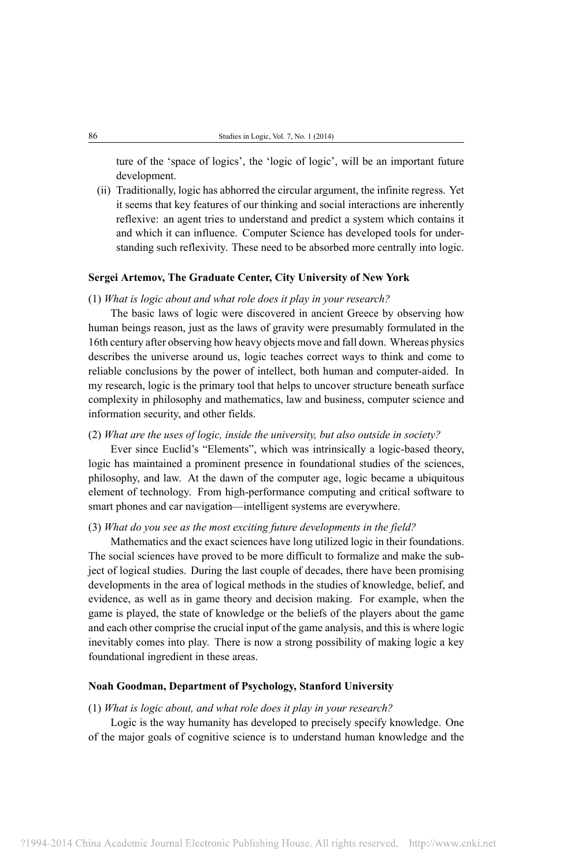ture of the 'space of logics', the 'logic of logic', will be an important future development.

(ii) Traditionally, logic has abhorred the circular argument, the infinite regress. Yet it seems that key features of our thinking and social interactions are inherently reflexive: an agent tries to understand and predict a system which contains it and which it can influence. Computer Science has developed tools for understanding such reflexivity. These need to be absorbed more centrally into logic.

## **Sergei Artemov, The Graduate Center, City University of New York**

## (1) *What is logic about and what role does it play in your research?*

The basic laws of logic were discovered in ancient Greece by observing how human beings reason, just as the laws of gravity were presumably formulated in the 16th century after observing how heavy objects move and fall down. Whereas physics describes the universe around us, logic teaches correct ways to think and come to reliable conclusions by the power of intellect, both human and computer-aided. In my research, logic is the primary tool that helps to uncover structure beneath surface complexity in philosophy and mathematics, law and business, computer science and information security, and other fields.

#### (2) *What are the uses of logic, inside the university, but also outside in society?*

Ever since Euclid's "Elements", which was intrinsically a logic-based theory, logic has maintained a prominent presence in foundational studies of the sciences, philosophy, and law. At the dawn of the computer age, logic became a ubiquitous element of technology. From high-performance computing and critical software to smart phones and car navigation—intelligent systems are everywhere.

## (3) *What do you see as the most exciting future developments in the field?*

Mathematics and the exact sciences have long utilized logic in their foundations. The social sciences have proved to be more difficult to formalize and make the subject of logical studies. During the last couple of decades, there have been promising developments in the area of logical methods in the studies of knowledge, belief, and evidence, as well as in game theory and decision making. For example, when the game is played, the state of knowledge or the beliefs of the players about the game and each other comprise the crucial input of the game analysis, and this is where logic inevitably comes into play. There is now a strong possibility of making logic a key foundational ingredient in these areas.

## **Noah Goodman, Department of Psychology, Stanford University**

#### (1) *What is logic about, and what role does it play in your research?*

Logic is the way humanity has developed to precisely specify knowledge. One of the major goals of cognitive science is to understand human knowledge and the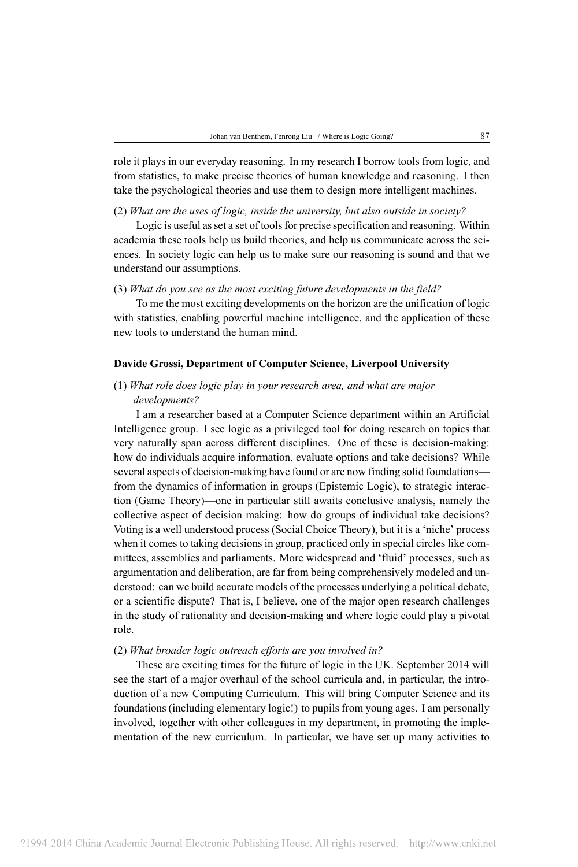role it plays in our everyday reasoning. In my research I borrow tools from logic, and from statistics, to make precise theories of human knowledge and reasoning. I then take the psychological theories and use them to design more intelligent machines.

(2) *What are the uses of logic, inside the university, but also outside in society?*

Logic is useful as set a set of tools for precise specification and reasoning. Within academia these tools help us build theories, and help us communicate across the sciences. In society logic can help us to make sure our reasoning is sound and that we understand our assumptions.

## (3) *What do you see as the most exciting future developments in the field?*

To me the most exciting developments on the horizon are the unification of logic with statistics, enabling powerful machine intelligence, and the application of these new tools to understand the human mind.

## **Davide Grossi, Department of Computer Science, Liverpool University**

# (1) *What role does logic play in your research area, and what are major developments?*

I am a researcher based at a Computer Science department within an Artificial Intelligence group. I see logic as a privileged tool for doing research on topics that very naturally span across different disciplines. One of these is decision-making: how do individuals acquire information, evaluate options and take decisions? While several aspects of decision-making have found or are now finding solid foundations from the dynamics of information in groups (Epistemic Logic), to strategic interaction (Game Theory)—one in particular still awaits conclusive analysis, namely the collective aspect of decision making: how do groups of individual take decisions? Voting is a well understood process (Social Choice Theory), but it is a 'niche' process when it comes to taking decisions in group, practiced only in special circles like committees, assemblies and parliaments. More widespread and 'fluid' processes, such as argumentation and deliberation, are far from being comprehensively modeled and understood: can we build accurate models of the processes underlying a political debate, or a scientific dispute? That is, I believe, one of the major open research challenges in the study of rationality and decision-making and where logic could play a pivotal role.

#### (2) *What broader logic outreach efforts are you involved in?*

These are exciting times for the future of logic in the UK. September 2014 will see the start of a major overhaul of the school curricula and, in particular, the introduction of a new Computing Curriculum. This will bring Computer Science and its foundations (including elementary logic!) to pupils from young ages. I am personally involved, together with other colleagues in my department, in promoting the implementation of the new curriculum. In particular, we have set up many activities to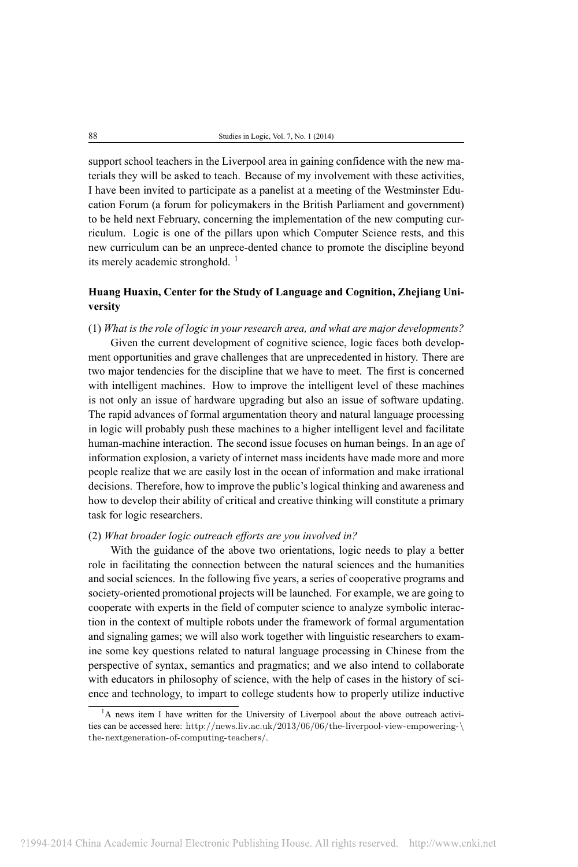support school teachers in the Liverpool area in gaining confidence with the new materials they will be asked to teach. Because of my involvement with these activities, I have been invited to participate as a panelist at a meeting of the Westminster Education Forum (a forum for policymakers in the British Parliament and government) to be held next February, concerning the implementation of the new computing curriculum. Logic is one of the pillars upon which Computer Science rests, and this new curriculum can be an unprece-dented chance to promote the discipline beyond its merely academic stronghold.  $<sup>1</sup>$ </sup>

# **Huang Huaxin, Center for the Study of Language and Cognition, Zhejiang University**

(1) *What is the role of logic in your research area, and what are major developments?*

Given the current development of cognitive science, logic faces both development opportunities and grave challenges that are unprecedented in history. There are two major tendencies for the discipline that we have to meet. The first is concerned with intelligent machines. How to improve the intelligent level of these machines is not only an issue of hardware upgrading but also an issue of software updating. The rapid advances of formal argumentation theory and natural language processing in logic will probably push these machines to a higher intelligent level and facilitate human-machine interaction. The second issue focuses on human beings. In an age of information explosion, a variety of internet mass incidents have made more and more people realize that we are easily lost in the ocean of information and make irrational decisions. Therefore, how to improve the public's logical thinking and awareness and how to develop their ability of critical and creative thinking will constitute a primary task for logic researchers.

#### (2) *What broader logic outreach efforts are you involved in?*

With the guidance of the above two orientations, logic needs to play a better role in facilitating the connection between the natural sciences and the humanities and social sciences. In the following five years, a series of cooperative programs and society-oriented promotional projects will be launched. For example, we are going to cooperate with experts in the field of computer science to analyze symbolic interaction in the context of multiple robots under the framework of formal argumentation and signaling games; we will also work together with linguistic researchers to examine some key questions related to natural language processing in Chinese from the perspective of syntax, semantics and pragmatics; and we also intend to collaborate with educators in philosophy of science, with the help of cases in the history of science and technology, to impart to college students how to properly utilize inductive

<sup>&</sup>lt;sup>1</sup>A news item I have written for the University of Liverpool about the above outreach activities can be accessed here: [http://news.liv.ac.uk/2013/06/06/the-liverpool-view-empowering-\](http://news.liv.ac.uk/2013/06/06/the-liverpool-view-empowering-\the-nextgeneration-of-computing-teachers/) [the-nextgeneration-of-computing-teachers/](http://news.liv.ac.uk/2013/06/06/the-liverpool-view-empowering-\the-nextgeneration-of-computing-teachers/).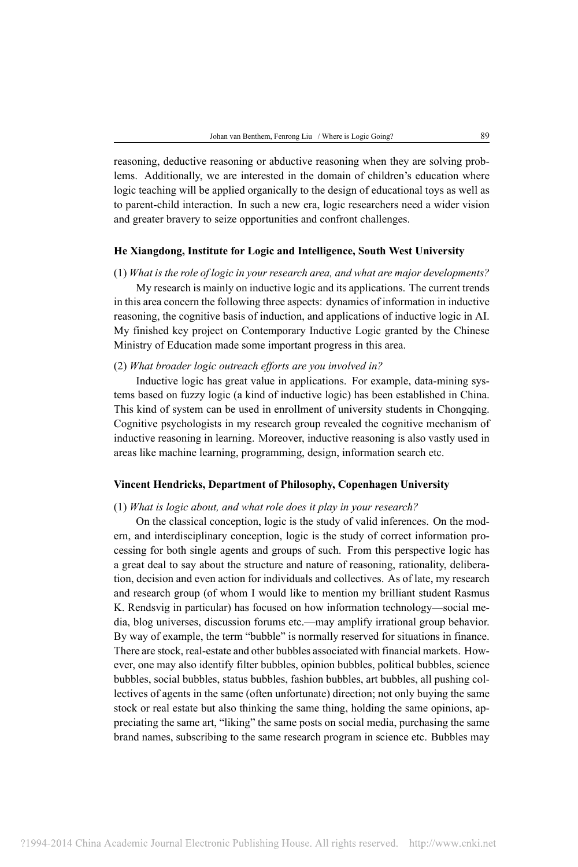reasoning, deductive reasoning or abductive reasoning when they are solving problems. Additionally, we are interested in the domain of children's education where logic teaching will be applied organically to the design of educational toys as well as to parent-child interaction. In such a new era, logic researchers need a wider vision and greater bravery to seize opportunities and confront challenges.

## **He Xiangdong, Institute for Logic and Intelligence, South West University**

(1) *What is the role of logic in your research area, and what are major developments?*

My research is mainly on inductive logic and its applications. The current trends in this area concern the following three aspects: dynamics of information in inductive reasoning, the cognitive basis of induction, and applications of inductive logic in AI. My finished key project on Contemporary Inductive Logic granted by the Chinese Ministry of Education made some important progress in this area.

## (2) *What broader logic outreach efforts are you involved in?*

Inductive logic has great value in applications. For example, data-mining systems based on fuzzy logic (a kind of inductive logic) has been established in China. This kind of system can be used in enrollment of university students in Chongqing. Cognitive psychologists in my research group revealed the cognitive mechanism of inductive reasoning in learning. Moreover, inductive reasoning is also vastly used in areas like machine learning, programming, design, information search etc.

## **Vincent Hendricks, Department of Philosophy, Copenhagen University**

## (1) *What is logic about, and what role does it play in your research?*

On the classical conception, logic is the study of valid inferences. On the modern, and interdisciplinary conception, logic is the study of correct information processing for both single agents and groups of such. From this perspective logic has a great deal to say about the structure and nature of reasoning, rationality, deliberation, decision and even action for individuals and collectives. As of late, my research and research group (of whom I would like to mention my brilliant student Rasmus K. Rendsvig in particular) has focused on how information technology—social media, blog universes, discussion forums etc.—may amplify irrational group behavior. By way of example, the term "bubble" is normally reserved for situations in finance. There are stock, real-estate and other bubbles associated with financial markets. However, one may also identify filter bubbles, opinion bubbles, political bubbles, science bubbles, social bubbles, status bubbles, fashion bubbles, art bubbles, all pushing collectives of agents in the same (often unfortunate) direction; not only buying the same stock or real estate but also thinking the same thing, holding the same opinions, appreciating the same art, "liking" the same posts on social media, purchasing the same brand names, subscribing to the same research program in science etc. Bubbles may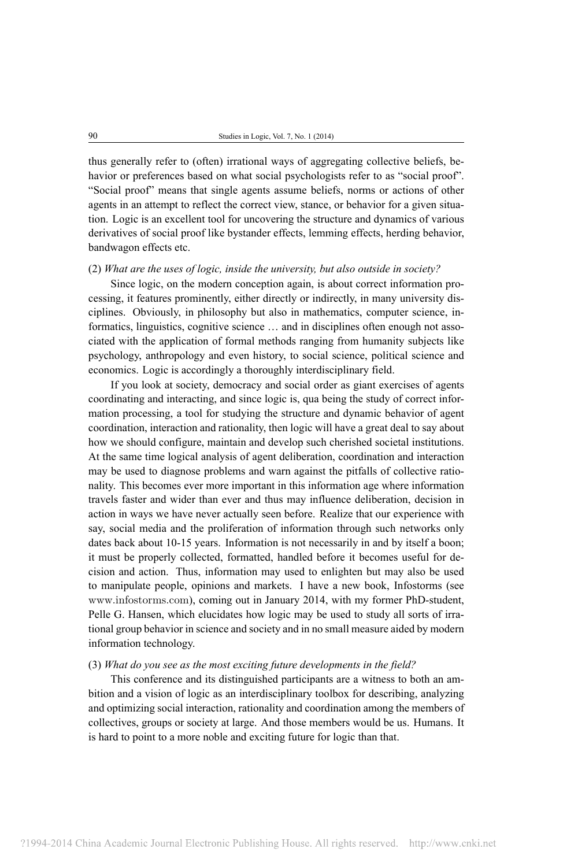thus generally refer to (often) irrational ways of aggregating collective beliefs, behavior or preferences based on what social psychologists refer to as "social proof". "Social proof" means that single agents assume beliefs, norms or actions of other agents in an attempt to reflect the correct view, stance, or behavior for a given situation. Logic is an excellent tool for uncovering the structure and dynamics of various derivatives of social proof like bystander effects, lemming effects, herding behavior, bandwagon effects etc.

#### (2) *What are the uses of logic, inside the university, but also outside in society?*

Since logic, on the modern conception again, is about correct information processing, it features prominently, either directly or indirectly, in many university disciplines. Obviously, in philosophy but also in mathematics, computer science, informatics, linguistics, cognitive science … and in disciplines often enough not associated with the application of formal methods ranging from humanity subjects like psychology, anthropology and even history, to social science, political science and economics. Logic is accordingly a thoroughly interdisciplinary field.

If you look at society, democracy and social order as giant exercises of agents coordinating and interacting, and since logic is, qua being the study of correct information processing, a tool for studying the structure and dynamic behavior of agent coordination, interaction and rationality, then logic will have a great deal to say about how we should configure, maintain and develop such cherished societal institutions. At the same time logical analysis of agent deliberation, coordination and interaction may be used to diagnose problems and warn against the pitfalls of collective rationality. This becomes ever more important in this information age where information travels faster and wider than ever and thus may influence deliberation, decision in action in ways we have never actually seen before. Realize that our experience with say, social media and the proliferation of information through such networks only dates back about 10-15 years. Information is not necessarily in and by itself a boon; it must be properly collected, formatted, handled before it becomes useful for decision and action. Thus, information may used to enlighten but may also be used to manipulate people, opinions and markets. I have a new book, Infostorms (see <www.infostorms.com>), coming out in January 2014, with my former PhD-student, Pelle G. Hansen, which elucidates how logic may be used to study all sorts of irrational group behavior in science and society and in no small measure aided by modern information technology.

## (3) *What do you see as the most exciting future developments in the field?*

This conference and its distinguished participants are a witness to both an ambition and a vision of logic as an interdisciplinary toolbox for describing, analyzing and optimizing social interaction, rationality and coordination among the members of collectives, groups or society at large. And those members would be us. Humans. It is hard to point to a more noble and exciting future for logic than that.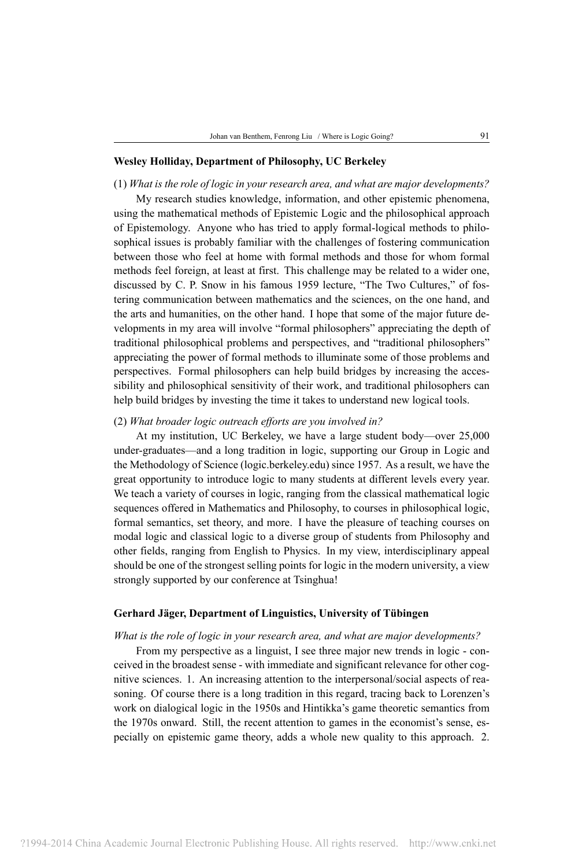## **Wesley Holliday, Department of Philosophy, UC Berkeley**

#### (1) *What is the role of logic in your research area, and what are major developments?*

My research studies knowledge, information, and other epistemic phenomena, using the mathematical methods of Epistemic Logic and the philosophical approach of Epistemology. Anyone who has tried to apply formal-logical methods to philosophical issues is probably familiar with the challenges of fostering communication between those who feel at home with formal methods and those for whom formal methods feel foreign, at least at first. This challenge may be related to a wider one, discussed by C. P. Snow in his famous 1959 lecture, "The Two Cultures," of fostering communication between mathematics and the sciences, on the one hand, and the arts and humanities, on the other hand. I hope that some of the major future developments in my area will involve "formal philosophers" appreciating the depth of traditional philosophical problems and perspectives, and "traditional philosophers" appreciating the power of formal methods to illuminate some of those problems and perspectives. Formal philosophers can help build bridges by increasing the accessibility and philosophical sensitivity of their work, and traditional philosophers can help build bridges by investing the time it takes to understand new logical tools.

## (2) *What broader logic outreach efforts are you involved in?*

At my institution, UC Berkeley, we have a large student body—over 25,000 under-graduates—and a long tradition in logic, supporting our Group in Logic and the Methodology of Science (logic.berkeley.edu) since 1957. As a result, we have the great opportunity to introduce logic to many students at different levels every year. We teach a variety of courses in logic, ranging from the classical mathematical logic sequences offered in Mathematics and Philosophy, to courses in philosophical logic, formal semantics, set theory, and more. I have the pleasure of teaching courses on modal logic and classical logic to a diverse group of students from Philosophy and other fields, ranging from English to Physics. In my view, interdisciplinary appeal should be one of the strongest selling points for logic in the modern university, a view strongly supported by our conference at Tsinghua!

## **Gerhard Jäger, Department of Linguistics, University of Tübingen**

#### *What is the role of logic in your research area, and what are major developments?*

From my perspective as a linguist, I see three major new trends in logic - conceived in the broadest sense - with immediate and significant relevance for other cognitive sciences. 1. An increasing attention to the interpersonal/social aspects of reasoning. Of course there is a long tradition in this regard, tracing back to Lorenzen's work on dialogical logic in the 1950s and Hintikka's game theoretic semantics from the 1970s onward. Still, the recent attention to games in the economist's sense, especially on epistemic game theory, adds a whole new quality to this approach. 2.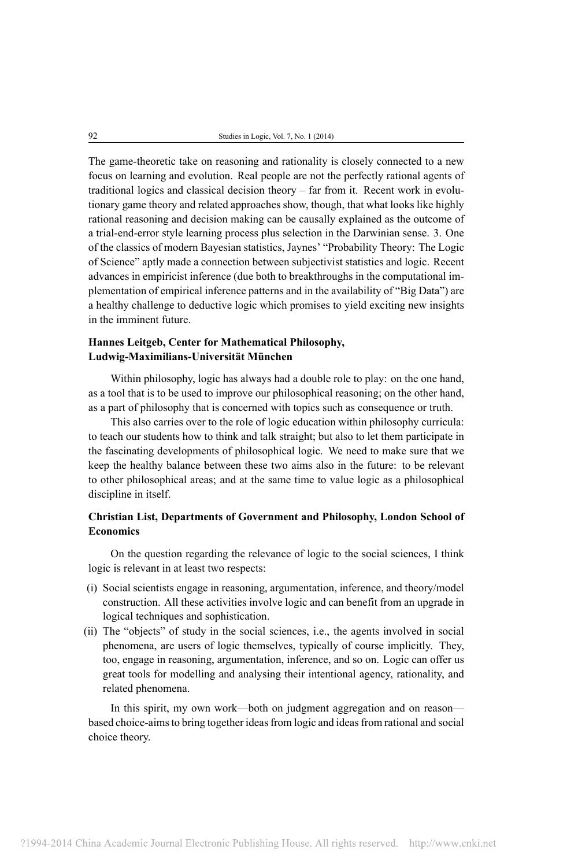The game-theoretic take on reasoning and rationality is closely connected to a new focus on learning and evolution. Real people are not the perfectly rational agents of traditional logics and classical decision theory – far from it. Recent work in evolutionary game theory and related approaches show, though, that what looks like highly rational reasoning and decision making can be causally explained as the outcome of a trial-end-error style learning process plus selection in the Darwinian sense. 3. One of the classics of modern Bayesian statistics, Jaynes' "Probability Theory: The Logic of Science" aptly made a connection between subjectivist statistics and logic. Recent advances in empiricist inference (due both to breakthroughs in the computational implementation of empirical inference patterns and in the availability of "Big Data") are a healthy challenge to deductive logic which promises to yield exciting new insights in the imminent future.

# **Hannes Leitgeb, Center for Mathematical Philosophy, Ludwig-Maximilians-Universität München**

Within philosophy, logic has always had a double role to play: on the one hand, as a tool that is to be used to improve our philosophical reasoning; on the other hand, as a part of philosophy that is concerned with topics such as consequence or truth.

This also carries over to the role of logic education within philosophy curricula: to teach our students how to think and talk straight; but also to let them participate in the fascinating developments of philosophical logic. We need to make sure that we keep the healthy balance between these two aims also in the future: to be relevant to other philosophical areas; and at the same time to value logic as a philosophical discipline in itself.

# **Christian List, Departments of Government and Philosophy, London School of Economics**

On the question regarding the relevance of logic to the social sciences, I think logic is relevant in at least two respects:

- (i) Social scientists engage in reasoning, argumentation, inference, and theory/model construction. All these activities involve logic and can benefit from an upgrade in logical techniques and sophistication.
- (ii) The "objects" of study in the social sciences, i.e., the agents involved in social phenomena, are users of logic themselves, typically of course implicitly. They, too, engage in reasoning, argumentation, inference, and so on. Logic can offer us great tools for modelling and analysing their intentional agency, rationality, and related phenomena.

In this spirit, my own work—both on judgment aggregation and on reason based choice-aims to bring together ideas from logic and ideas from rational and social choice theory.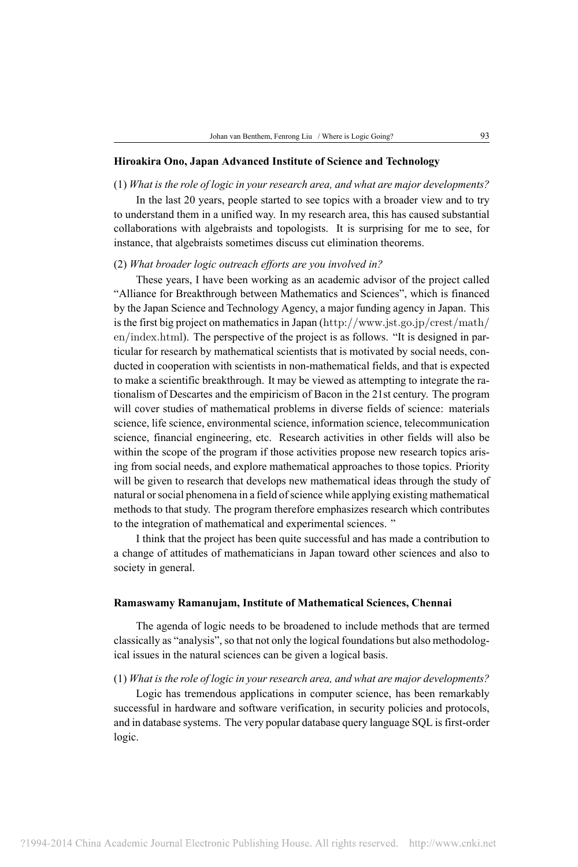## **Hiroakira Ono, Japan Advanced Institute of Science and Technology**

#### (1) *What is the role of logic in your research area, and what are major developments?*

In the last 20 years, people started to see topics with a broader view and to try to understand them in a unified way. In my research area, this has caused substantial collaborations with algebraists and topologists. It is surprising for me to see, for instance, that algebraists sometimes discuss cut elimination theorems.

## (2) *What broader logic outreach efforts are you involved in?*

These years, I have been working as an academic advisor of the project called "Alliance for Breakthrough between Mathematics and Sciences", which is financed by the Japan Science and Technology Agency, a major funding agency in Japan. This is the first big project on mathematics in Japan ([http://www.jst.go.jp/crest/math/](http://www.jst.go.jp/crest/math/en/index.html) [en/index.html](http://www.jst.go.jp/crest/math/en/index.html)). The perspective of the project is as follows. "It is designed in particular for research by mathematical scientists that is motivated by social needs, conducted in cooperation with scientists in non-mathematical fields, and that is expected to make a scientific breakthrough. It may be viewed as attempting to integrate the rationalism of Descartes and the empiricism of Bacon in the 21st century. The program will cover studies of mathematical problems in diverse fields of science: materials science, life science, environmental science, information science, telecommunication science, financial engineering, etc. Research activities in other fields will also be within the scope of the program if those activities propose new research topics arising from social needs, and explore mathematical approaches to those topics. Priority will be given to research that develops new mathematical ideas through the study of natural or social phenomena in a field of science while applying existing mathematical methods to that study. The program therefore emphasizes research which contributes to the integration of mathematical and experimental sciences. "

I think that the project has been quite successful and has made a contribution to a change of attitudes of mathematicians in Japan toward other sciences and also to society in general.

## **Ramaswamy Ramanujam, Institute of Mathematical Sciences, Chennai**

The agenda of logic needs to be broadened to include methods that are termed classically as "analysis", so that not only the logical foundations but also methodological issues in the natural sciences can be given a logical basis.

## (1) *What is the role of logic in your research area, and what are major developments?*

Logic has tremendous applications in computer science, has been remarkably successful in hardware and software verification, in security policies and protocols, and in database systems. The very popular database query language SQL is first-order logic.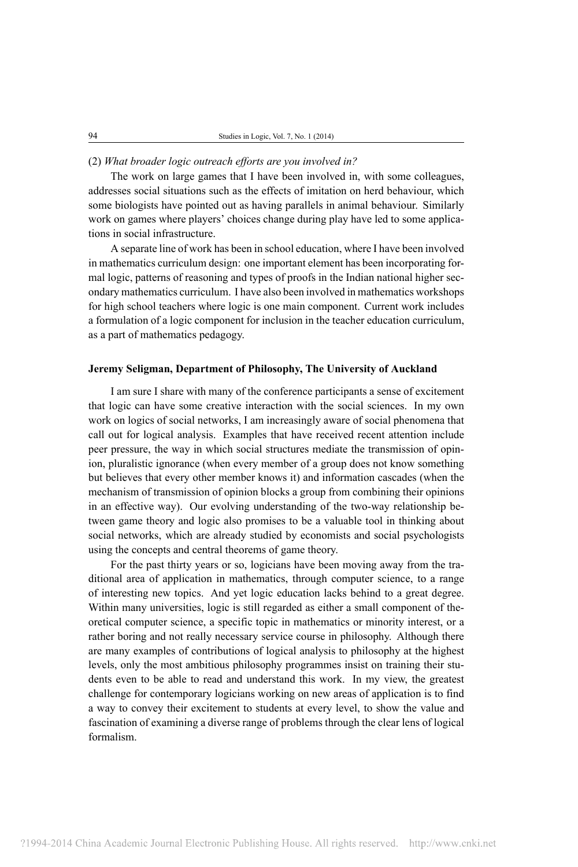## (2) *What broader logic outreach efforts are you involved in?*

The work on large games that I have been involved in, with some colleagues, addresses social situations such as the effects of imitation on herd behaviour, which some biologists have pointed out as having parallels in animal behaviour. Similarly work on games where players' choices change during play have led to some applications in social infrastructure.

A separate line of work has been in school education, where I have been involved in mathematics curriculum design: one important element has been incorporating formal logic, patterns of reasoning and types of proofs in the Indian national higher secondary mathematics curriculum. I have also been involved in mathematics workshops for high school teachers where logic is one main component. Current work includes a formulation of a logic component for inclusion in the teacher education curriculum, as a part of mathematics pedagogy.

## **Jeremy Seligman, Department of Philosophy, The University of Auckland**

I am sure I share with many of the conference participants a sense of excitement that logic can have some creative interaction with the social sciences. In my own work on logics of social networks, I am increasingly aware of social phenomena that call out for logical analysis. Examples that have received recent attention include peer pressure, the way in which social structures mediate the transmission of opinion, pluralistic ignorance (when every member of a group does not know something but believes that every other member knows it) and information cascades (when the mechanism of transmission of opinion blocks a group from combining their opinions in an effective way). Our evolving understanding of the two-way relationship between game theory and logic also promises to be a valuable tool in thinking about social networks, which are already studied by economists and social psychologists using the concepts and central theorems of game theory.

For the past thirty years or so, logicians have been moving away from the traditional area of application in mathematics, through computer science, to a range of interesting new topics. And yet logic education lacks behind to a great degree. Within many universities, logic is still regarded as either a small component of theoretical computer science, a specific topic in mathematics or minority interest, or a rather boring and not really necessary service course in philosophy. Although there are many examples of contributions of logical analysis to philosophy at the highest levels, only the most ambitious philosophy programmes insist on training their students even to be able to read and understand this work. In my view, the greatest challenge for contemporary logicians working on new areas of application is to find a way to convey their excitement to students at every level, to show the value and fascination of examining a diverse range of problems through the clear lens of logical formalism.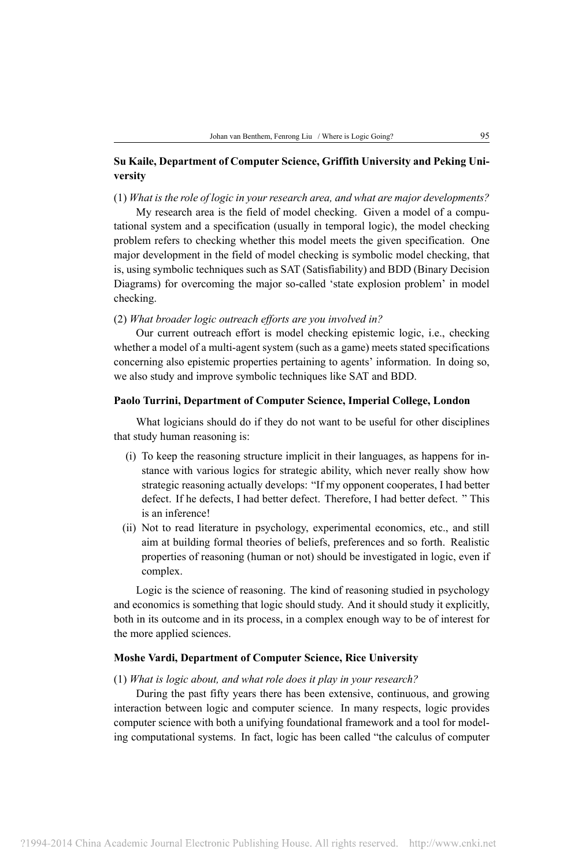# **Su Kaile, Department of Computer Science, Griffith University and Peking University**

## (1) *What is the role of logic in your research area, and what are major developments?*

My research area is the field of model checking. Given a model of a computational system and a specification (usually in temporal logic), the model checking problem refers to checking whether this model meets the given specification. One major development in the field of model checking is symbolic model checking, that is, using symbolic techniques such as SAT (Satisfiability) and BDD (Binary Decision Diagrams) for overcoming the major so-called 'state explosion problem' in model checking.

## (2) *What broader logic outreach efforts are you involved in?*

Our current outreach effort is model checking epistemic logic, i.e., checking whether a model of a multi-agent system (such as a game) meets stated specifications concerning also epistemic properties pertaining to agents' information. In doing so, we also study and improve symbolic techniques like SAT and BDD.

#### **Paolo Turrini, Department of Computer Science, Imperial College, London**

What logicians should do if they do not want to be useful for other disciplines that study human reasoning is:

- (i) To keep the reasoning structure implicit in their languages, as happens for instance with various logics for strategic ability, which never really show how strategic reasoning actually develops: "If my opponent cooperates, I had better defect. If he defects, I had better defect. Therefore, I had better defect. " This is an inference!
- (ii) Not to read literature in psychology, experimental economics, etc., and still aim at building formal theories of beliefs, preferences and so forth. Realistic properties of reasoning (human or not) should be investigated in logic, even if complex.

Logic is the science of reasoning. The kind of reasoning studied in psychology and economics is something that logic should study. And it should study it explicitly, both in its outcome and in its process, in a complex enough way to be of interest for the more applied sciences.

#### **Moshe Vardi, Department of Computer Science, Rice University**

#### (1) *What is logic about, and what role does it play in your research?*

During the past fifty years there has been extensive, continuous, and growing interaction between logic and computer science. In many respects, logic provides computer science with both a unifying foundational framework and a tool for modeling computational systems. In fact, logic has been called "the calculus of computer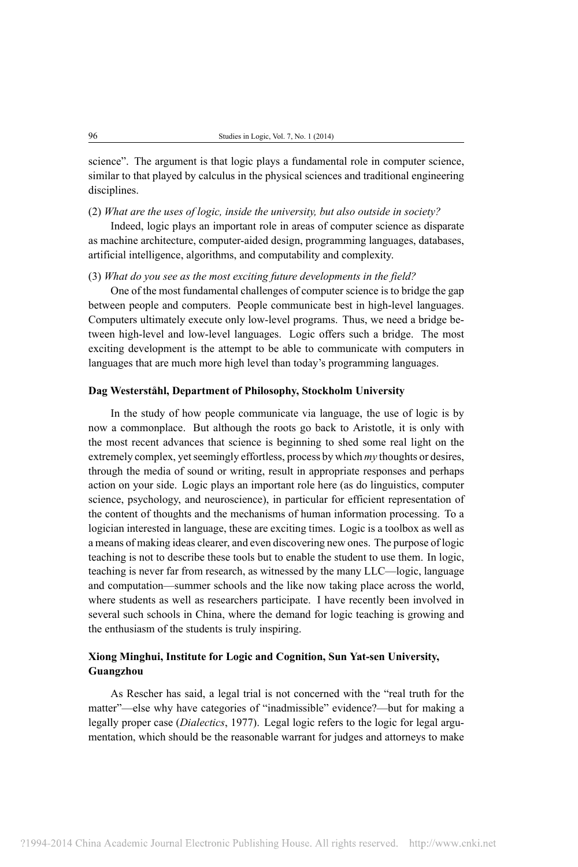science". The argument is that logic plays a fundamental role in computer science, similar to that played by calculus in the physical sciences and traditional engineering disciplines.

(2) *What are the uses of logic, inside the university, but also outside in society?*

Indeed, logic plays an important role in areas of computer science as disparate as machine architecture, computer-aided design, programming languages, databases, artificial intelligence, algorithms, and computability and complexity.

## (3) *What do you see as the most exciting future developments in the field?*

One of the most fundamental challenges of computer science is to bridge the gap between people and computers. People communicate best in high-level languages. Computers ultimately execute only low-level programs. Thus, we need a bridge between high-level and low-level languages. Logic offers such a bridge. The most exciting development is the attempt to be able to communicate with computers in languages that are much more high level than today's programming languages.

#### **Dag Westerståhl, Department of Philosophy, Stockholm University**

In the study of how people communicate via language, the use of logic is by now a commonplace. But although the roots go back to Aristotle, it is only with the most recent advances that science is beginning to shed some real light on the extremely complex, yet seemingly effortless, process by which *my* thoughts or desires, through the media of sound or writing, result in appropriate responses and perhaps action on your side. Logic plays an important role here (as do linguistics, computer science, psychology, and neuroscience), in particular for efficient representation of the content of thoughts and the mechanisms of human information processing. To a logician interested in language, these are exciting times. Logic is a toolbox as well as a means of making ideas clearer, and even discovering new ones. The purpose of logic teaching is not to describe these tools but to enable the student to use them. In logic, teaching is never far from research, as witnessed by the many LLC—logic, language and computation—summer schools and the like now taking place across the world, where students as well as researchers participate. I have recently been involved in several such schools in China, where the demand for logic teaching is growing and the enthusiasm of the students is truly inspiring.

# **Xiong Minghui, Institute for Logic and Cognition, Sun Yat-sen University, Guangzhou**

As Rescher has said, a legal trial is not concerned with the "real truth for the matter"—else why have categories of "inadmissible" evidence?—but for making a legally proper case (*Dialectics*, 1977). Legal logic refers to the logic for legal argumentation, which should be the reasonable warrant for judges and attorneys to make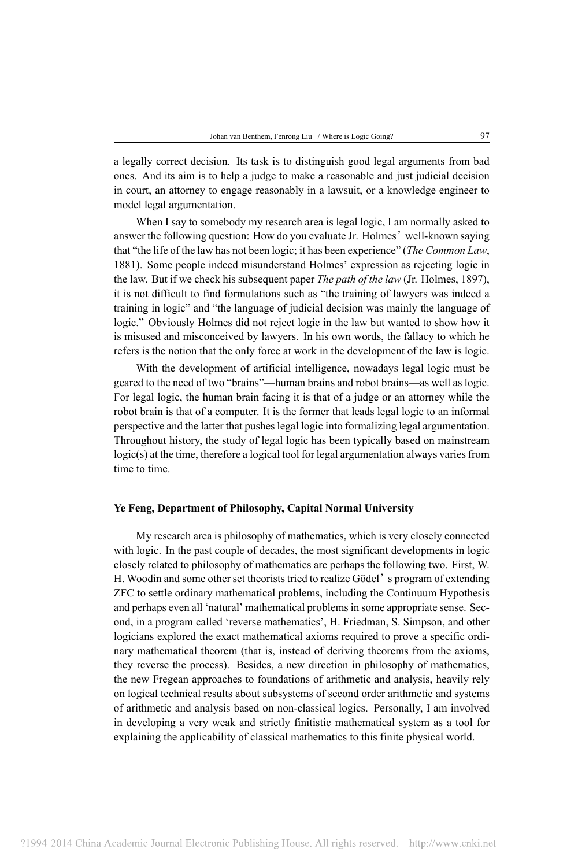a legally correct decision. Its task is to distinguish good legal arguments from bad ones. And its aim is to help a judge to make a reasonable and just judicial decision in court, an attorney to engage reasonably in a lawsuit, or a knowledge engineer to model legal argumentation.

When I say to somebody my research area is legal logic, I am normally asked to answer the following question: How do you evaluate Jr. Holmes' well-known saying that "the life of the law has not been logic; it has been experience" (*The Common Law*, 1881). Some people indeed misunderstand Holmes' expression as rejecting logic in the law. But if we check his subsequent paper *The path of the law* (Jr. Holmes, 1897), it is not difficult to find formulations such as "the training of lawyers was indeed a training in logic" and "the language of judicial decision was mainly the language of logic." Obviously Holmes did not reject logic in the law but wanted to show how it is misused and misconceived by lawyers. In his own words, the fallacy to which he refers is the notion that the only force at work in the development of the law is logic.

With the development of artificial intelligence, nowadays legal logic must be geared to the need of two "brains"—human brains and robot brains—as well as logic. For legal logic, the human brain facing it is that of a judge or an attorney while the robot brain is that of a computer. It is the former that leads legal logic to an informal perspective and the latter that pushes legal logic into formalizing legal argumentation. Throughout history, the study of legal logic has been typically based on mainstream logic(s) at the time, therefore a logical tool for legal argumentation always varies from time to time.

#### **Ye Feng, Department of Philosophy, Capital Normal University**

My research area is philosophy of mathematics, which is very closely connected with logic. In the past couple of decades, the most significant developments in logic closely related to philosophy of mathematics are perhaps the following two. First, W. H. Woodin and some other set theorists tried to realize Gödel's program of extending ZFC to settle ordinary mathematical problems, including the Continuum Hypothesis and perhaps even all 'natural' mathematical problems in some appropriate sense. Second, in a program called 'reverse mathematics', H. Friedman, S. Simpson, and other logicians explored the exact mathematical axioms required to prove a specific ordinary mathematical theorem (that is, instead of deriving theorems from the axioms, they reverse the process). Besides, a new direction in philosophy of mathematics, the new Fregean approaches to foundations of arithmetic and analysis, heavily rely on logical technical results about subsystems of second order arithmetic and systems of arithmetic and analysis based on non-classical logics. Personally, I am involved in developing a very weak and strictly finitistic mathematical system as a tool for explaining the applicability of classical mathematics to this finite physical world.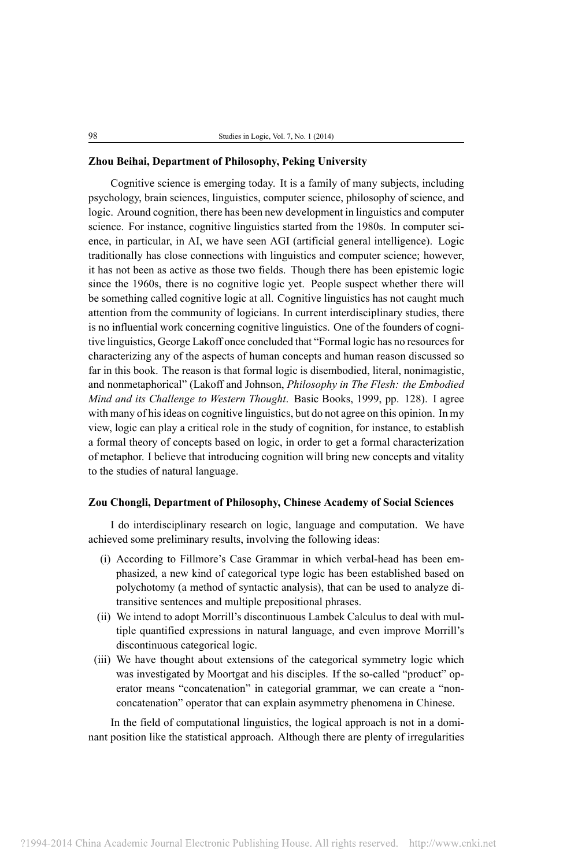## **Zhou Beihai, Department of Philosophy, Peking University**

Cognitive science is emerging today. It is a family of many subjects, including psychology, brain sciences, linguistics, computer science, philosophy of science, and logic. Around cognition, there has been new development in linguistics and computer science. For instance, cognitive linguistics started from the 1980s. In computer science, in particular, in AI, we have seen AGI (artificial general intelligence). Logic traditionally has close connections with linguistics and computer science; however, it has not been as active as those two fields. Though there has been epistemic logic since the 1960s, there is no cognitive logic yet. People suspect whether there will be something called cognitive logic at all. Cognitive linguistics has not caught much attention from the community of logicians. In current interdisciplinary studies, there is no influential work concerning cognitive linguistics. One of the founders of cognitive linguistics, George Lakoff once concluded that "Formal logic has no resources for characterizing any of the aspects of human concepts and human reason discussed so far in this book. The reason is that formal logic is disembodied, literal, nonimagistic, and nonmetaphorical" (Lakoff and Johnson, *Philosophy in The Flesh: the Embodied Mind and its Challenge to Western Thought*. Basic Books, 1999, pp. 128). I agree with many of his ideas on cognitive linguistics, but do not agree on this opinion. In my view, logic can play a critical role in the study of cognition, for instance, to establish a formal theory of concepts based on logic, in order to get a formal characterization of metaphor. I believe that introducing cognition will bring new concepts and vitality to the studies of natural language.

## **Zou Chongli, Department of Philosophy, Chinese Academy of Social Sciences**

I do interdisciplinary research on logic, language and computation. We have achieved some preliminary results, involving the following ideas:

- (i) According to Fillmore's Case Grammar in which verbal-head has been emphasized, a new kind of categorical type logic has been established based on polychotomy (a method of syntactic analysis), that can be used to analyze ditransitive sentences and multiple prepositional phrases.
- (ii) We intend to adopt Morrill's discontinuous Lambek Calculus to deal with multiple quantified expressions in natural language, and even improve Morrill's discontinuous categorical logic.
- (iii) We have thought about extensions of the categorical symmetry logic which was investigated by Moortgat and his disciples. If the so-called "product" operator means "concatenation" in categorial grammar, we can create a "nonconcatenation" operator that can explain asymmetry phenomena in Chinese.

In the field of computational linguistics, the logical approach is not in a dominant position like the statistical approach. Although there are plenty of irregularities